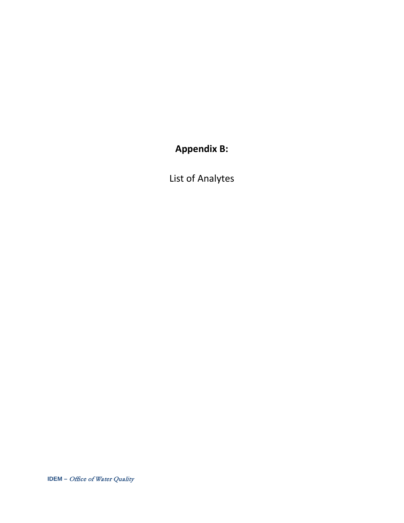**Appendix B:** 

List of Analytes

**IDEM –** Office of Water Quality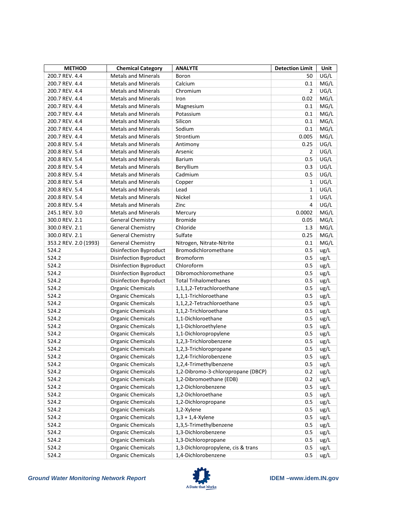| <b>METHOD</b>         | <b>Chemical Category</b>                             | <b>ANALYTE</b>                     | <b>Detection Limit</b> | Unit |
|-----------------------|------------------------------------------------------|------------------------------------|------------------------|------|
| 200.7 REV. 4.4        | <b>Metals and Minerals</b>                           | Boron                              | 50                     | UG/L |
| 200.7 REV. 4.4        | <b>Metals and Minerals</b>                           | Calcium                            | 0.1                    | MG/L |
| 200.7 REV. 4.4        | <b>Metals and Minerals</b>                           | Chromium                           | $\overline{2}$         | UG/L |
| 200.7 REV. 4.4        | <b>Metals and Minerals</b>                           | Iron                               | 0.02                   | MG/L |
| 200.7 REV. 4.4        | <b>Metals and Minerals</b>                           | Magnesium                          | 0.1                    | MG/L |
| 200.7 REV. 4.4        | <b>Metals and Minerals</b>                           | Potassium                          | 0.1                    | MG/L |
| 200.7 REV. 4.4        | <b>Metals and Minerals</b>                           | Silicon                            | 0.1                    | MG/L |
| 200.7 REV. 4.4        | <b>Metals and Minerals</b>                           | Sodium                             | 0.1                    | MG/L |
| 200.7 REV. 4.4        | <b>Metals and Minerals</b>                           | Strontium                          | 0.005                  | MG/L |
| 200.8 REV. 5.4        | <b>Metals and Minerals</b>                           | Antimony                           | 0.25                   | UG/L |
| 200.8 REV. 5.4        | <b>Metals and Minerals</b>                           | Arsenic                            | $\overline{2}$         | UG/L |
| 200.8 REV. 5.4        | <b>Metals and Minerals</b>                           | <b>Barium</b>                      | 0.5                    | UG/L |
| 200.8 REV. 5.4        | <b>Metals and Minerals</b>                           | Beryllium                          | 0.3                    | UG/L |
| 200.8 REV. 5.4        | <b>Metals and Minerals</b>                           | Cadmium                            | 0.5                    | UG/L |
| 200.8 REV. 5.4        | <b>Metals and Minerals</b>                           | Copper                             | 1                      | UG/L |
| 200.8 REV. 5.4        | <b>Metals and Minerals</b>                           | Lead                               | $\mathbf{1}$           | UG/L |
| 200.8 REV. 5.4        | <b>Metals and Minerals</b>                           | Nickel                             | $\mathbf{1}$           | UG/L |
| 200.8 REV. 5.4        | <b>Metals and Minerals</b>                           | Zinc                               | 4                      | UG/L |
| 245.1 REV. 3.0        | <b>Metals and Minerals</b>                           | Mercury                            | 0.0002                 | MG/L |
| 300.0 REV. 2.1        | <b>General Chemistry</b>                             | <b>Bromide</b>                     | 0.05                   | MG/L |
| 300.0 REV. 2.1        | <b>General Chemistry</b>                             | Chloride                           | 1.3                    | MG/L |
| 300.0 REV. 2.1        | <b>General Chemistry</b>                             | Sulfate                            | 0.25                   | MG/L |
| 353.2 REV. 2.0 (1993) | <b>General Chemistry</b>                             | Nitrogen, Nitrate-Nitrite          | 0.1                    | MG/L |
| 524.2                 | <b>Disinfection Byproduct</b>                        | Bromodichloromethane               | 0.5                    | ug/L |
| 524.2                 | Disinfection Byproduct                               | <b>Bromoform</b>                   | 0.5                    | ug/L |
| 524.2                 | Disinfection Byproduct                               | Chloroform                         | 0.5                    | ug/L |
| 524.2                 | Disinfection Byproduct                               | Dibromochloromethane               | 0.5                    | ug/L |
| 524.2                 | Disinfection Byproduct                               | <b>Total Trihalomethanes</b>       | 0.5                    | ug/L |
| 524.2                 | <b>Organic Chemicals</b>                             | 1,1,1,2-Tetrachloroethane          | 0.5                    | ug/L |
| 524.2                 | <b>Organic Chemicals</b>                             | 1,1,1-Trichloroethane              | 0.5                    | ug/L |
| 524.2                 | <b>Organic Chemicals</b>                             | 1,1,2,2-Tetrachloroethane          | 0.5                    | ug/L |
| 524.2                 | <b>Organic Chemicals</b>                             | 1,1,2-Trichloroethane              | 0.5                    | ug/L |
| 524.2                 | <b>Organic Chemicals</b>                             | 1,1-Dichloroethane                 | 0.5                    | ug/L |
| 524.2                 | <b>Organic Chemicals</b>                             | 1,1-Dichloroethylene               | 0.5                    | ug/L |
| 524.2                 | <b>Organic Chemicals</b>                             | 1,1-Dichloropropylene              | 0.5                    | ug/L |
| 524.2                 | <b>Organic Chemicals</b>                             | 1,2,3-Trichlorobenzene             | 0.5                    | ug/L |
| 524.2                 | <b>Organic Chemicals</b>                             | 1,2,3-Trichloropropane             | 0.5                    | ug/L |
| 524.2                 | <b>Organic Chemicals</b>                             | 1,2,4-Trichlorobenzene             | 0.5                    | ug/L |
| 524.2                 | <b>Organic Chemicals</b>                             | 1,2,4-Trimethylbenzene             | 0.5                    | ug/L |
| 524.2                 | <b>Organic Chemicals</b>                             | 1,2-Dibromo-3-chloropropane (DBCP) | 0.2                    | ug/L |
| 524.2                 | <b>Organic Chemicals</b>                             | 1,2-Dibromoethane (EDB)            | 0.2                    | ug/L |
| 524.2                 | <b>Organic Chemicals</b>                             | 1,2-Dichlorobenzene                | 0.5                    | ug/L |
| 524.2                 |                                                      | 1,2-Dichloroethane                 | 0.5                    | ug/L |
| 524.2                 | <b>Organic Chemicals</b><br><b>Organic Chemicals</b> | 1,2-Dichloropropane                | 0.5                    |      |
| 524.2                 | <b>Organic Chemicals</b>                             |                                    | 0.5                    | ug/L |
| 524.2                 | <b>Organic Chemicals</b>                             | 1,2-Xylene                         | 0.5                    | ug/L |
|                       |                                                      | $1,3 + 1,4$ -Xylene                |                        | ug/L |
| 524.2                 | <b>Organic Chemicals</b>                             | 1,3,5-Trimethylbenzene             | 0.5                    | ug/L |
| 524.2                 | <b>Organic Chemicals</b>                             | 1,3-Dichlorobenzene                | 0.5                    | ug/L |
| 524.2                 | <b>Organic Chemicals</b>                             | 1,3-Dichloropropane                | 0.5                    | ug/L |
| 524.2                 | <b>Organic Chemicals</b>                             | 1,3-Dichloropropylene, cis & trans | 0.5                    | ug/L |
| 524.2                 | <b>Organic Chemicals</b>                             | 1,4-Dichlorobenzene                | 0.5                    | ug/L |

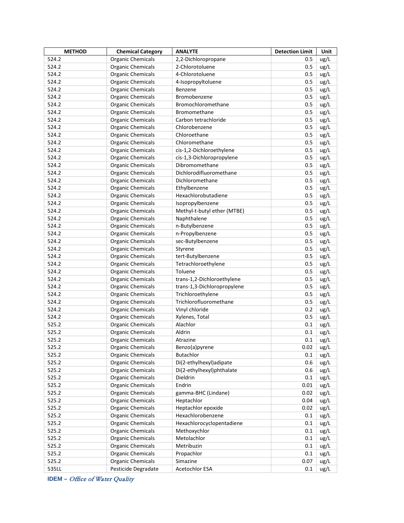| <b>METHOD</b> | <b>Chemical Category</b> | <b>ANALYTE</b>              | <b>Detection Limit</b> | Unit |
|---------------|--------------------------|-----------------------------|------------------------|------|
| 524.2         | <b>Organic Chemicals</b> | 2,2-Dichloropropane         | 0.5                    | ug/L |
| 524.2         | <b>Organic Chemicals</b> | 2-Chlorotoluene             | 0.5                    | ug/L |
| 524.2         | <b>Organic Chemicals</b> | 4-Chlorotoluene             | 0.5                    | ug/L |
| 524.2         | <b>Organic Chemicals</b> | 4-Isopropyltoluene          | 0.5                    | ug/L |
| 524.2         | <b>Organic Chemicals</b> | Benzene                     | 0.5                    | ug/L |
| 524.2         | <b>Organic Chemicals</b> | Bromobenzene                | 0.5                    | ug/L |
| 524.2         | <b>Organic Chemicals</b> | Bromochloromethane          | 0.5                    | ug/L |
| 524.2         | <b>Organic Chemicals</b> | Bromomethane                | 0.5                    | ug/L |
| 524.2         | <b>Organic Chemicals</b> | Carbon tetrachloride        | 0.5                    | ug/L |
| 524.2         | <b>Organic Chemicals</b> | Chlorobenzene               | 0.5                    | ug/L |
| 524.2         | <b>Organic Chemicals</b> | Chloroethane                | 0.5                    | ug/L |
| 524.2         | <b>Organic Chemicals</b> | Chloromethane               | 0.5                    | ug/L |
| 524.2         | <b>Organic Chemicals</b> | cis-1,2-Dichloroethylene    | 0.5                    | ug/L |
| 524.2         | <b>Organic Chemicals</b> | cis-1,3-Dichloropropylene   | 0.5                    | ug/L |
| 524.2         | <b>Organic Chemicals</b> | Dibromomethane              | 0.5                    | ug/L |
| 524.2         | <b>Organic Chemicals</b> | Dichlorodifluoromethane     | 0.5                    | ug/L |
| 524.2         | <b>Organic Chemicals</b> | Dichloromethane             | 0.5                    | ug/L |
| 524.2         | <b>Organic Chemicals</b> | Ethylbenzene                | 0.5                    | ug/L |
| 524.2         | <b>Organic Chemicals</b> | Hexachlorobutadiene         | 0.5                    | ug/L |
| 524.2         | <b>Organic Chemicals</b> | Isopropylbenzene            | 0.5                    | ug/L |
| 524.2         | <b>Organic Chemicals</b> | Methyl-t-butyl ether (MTBE) | 0.5                    | ug/L |
| 524.2         | <b>Organic Chemicals</b> | Naphthalene                 | 0.5                    | ug/L |
| 524.2         | <b>Organic Chemicals</b> | n-Butylbenzene              | 0.5                    | ug/L |
| 524.2         | <b>Organic Chemicals</b> | n-Propylbenzene             | 0.5                    | ug/L |
| 524.2         | <b>Organic Chemicals</b> | sec-Butylbenzene            | 0.5                    | ug/L |
| 524.2         | <b>Organic Chemicals</b> | Styrene                     | 0.5                    | ug/L |
| 524.2         | <b>Organic Chemicals</b> | tert-Butylbenzene           | 0.5                    | ug/L |
| 524.2         | <b>Organic Chemicals</b> | Tetrachloroethylene         | 0.5                    | ug/L |
| 524.2         | <b>Organic Chemicals</b> | Toluene                     | 0.5                    | ug/L |
| 524.2         | <b>Organic Chemicals</b> | trans-1,2-Dichloroethylene  | 0.5                    | ug/L |
| 524.2         | <b>Organic Chemicals</b> | trans-1,3-Dichloropropylene | 0.5                    | ug/L |
| 524.2         | <b>Organic Chemicals</b> | Trichloroethylene           | 0.5                    | ug/L |
| 524.2         | <b>Organic Chemicals</b> | Trichlorofluoromethane      | 0.5                    | ug/L |
| 524.2         | <b>Organic Chemicals</b> | Vinyl chloride              | 0.2                    | ug/L |
| 524.2         | <b>Organic Chemicals</b> | Xylenes, Total              | 0.5                    | ug/L |
| 525.2         | <b>Organic Chemicals</b> | Alachlor                    | 0.1                    | ug/L |
| 525.2         | <b>Organic Chemicals</b> | Aldrin                      | 0.1                    | ug/L |
| 525.2         | <b>Organic Chemicals</b> | Atrazine                    | 0.1                    | ug/L |
| 525.2         | <b>Organic Chemicals</b> | Benzo(a)pyrene              | 0.02                   | ug/L |
| 525.2         | <b>Organic Chemicals</b> | <b>Butachlor</b>            | 0.1                    | ug/L |
| 525.2         | <b>Organic Chemicals</b> | Di(2-ethylhexyl)adipate     | 0.6                    | ug/L |
| 525.2         | <b>Organic Chemicals</b> | Di(2-ethylhexyl)phthalate   | 0.6                    | ug/L |
| 525.2         | <b>Organic Chemicals</b> | Dieldrin                    | 0.1                    | ug/L |
| 525.2         | <b>Organic Chemicals</b> | Endrin                      | 0.01                   | ug/L |
| 525.2         | <b>Organic Chemicals</b> | gamma-BHC (Lindane)         | 0.02                   | ug/L |
| 525.2         | <b>Organic Chemicals</b> | Heptachlor                  | 0.04                   | ug/L |
| 525.2         | <b>Organic Chemicals</b> | Heptachlor epoxide          | 0.02                   | ug/L |
| 525.2         | <b>Organic Chemicals</b> | Hexachlorobenzene           | 0.1                    | ug/L |
| 525.2         | <b>Organic Chemicals</b> | Hexachlorocyclopentadiene   | 0.1                    | ug/L |
| 525.2         | <b>Organic Chemicals</b> | Methoxychlor                | 0.1                    | ug/L |
| 525.2         | <b>Organic Chemicals</b> | Metolachlor                 | 0.1                    | ug/L |
| 525.2         | <b>Organic Chemicals</b> | Metribuzin                  | 0.1                    | ug/L |
| 525.2         | <b>Organic Chemicals</b> | Propachlor                  | 0.1                    | ug/L |
| 525.2         | <b>Organic Chemicals</b> | Simazine                    | 0.07                   | ug/L |
| 535LL         | Pesticide Degradate      | Acetochlor ESA              | 0.1                    | ug/L |

**IDEM –** Office of Water Quality